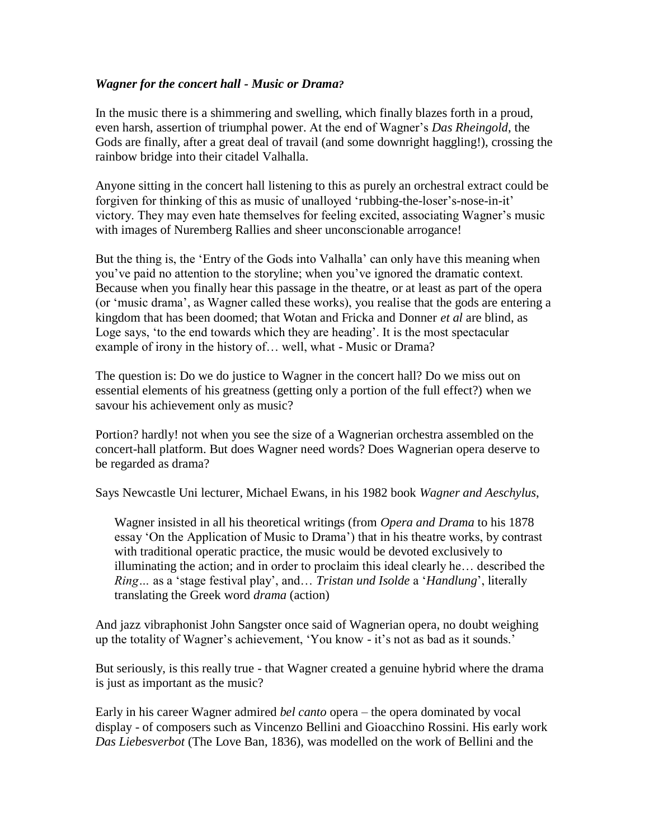## *Wagner for the concert hall - Music or Drama?*

In the music there is a shimmering and swelling, which finally blazes forth in a proud, even harsh, assertion of triumphal power. At the end of Wagner's *Das Rheingold*, the Gods are finally, after a great deal of travail (and some downright haggling!), crossing the rainbow bridge into their citadel Valhalla.

Anyone sitting in the concert hall listening to this as purely an orchestral extract could be forgiven for thinking of this as music of unalloyed 'rubbing-the-loser's-nose-in-it' victory. They may even hate themselves for feeling excited, associating Wagner's music with images of Nuremberg Rallies and sheer unconscionable arrogance!

But the thing is, the 'Entry of the Gods into Valhalla' can only have this meaning when you've paid no attention to the storyline; when you've ignored the dramatic context. Because when you finally hear this passage in the theatre, or at least as part of the opera (or 'music drama', as Wagner called these works), you realise that the gods are entering a kingdom that has been doomed; that Wotan and Fricka and Donner *et al* are blind, as Loge says, 'to the end towards which they are heading'. It is the most spectacular example of irony in the history of… well, what - Music or Drama?

The question is: Do we do justice to Wagner in the concert hall? Do we miss out on essential elements of his greatness (getting only a portion of the full effect?) when we savour his achievement only as music?

Portion? hardly! not when you see the size of a Wagnerian orchestra assembled on the concert-hall platform. But does Wagner need words? Does Wagnerian opera deserve to be regarded as drama?

Says Newcastle Uni lecturer, Michael Ewans, in his 1982 book *Wagner and Aeschylus*,

Wagner insisted in all his theoretical writings (from *Opera and Drama* to his 1878 essay 'On the Application of Music to Drama') that in his theatre works, by contrast with traditional operatic practice, the music would be devoted exclusively to illuminating the action; and in order to proclaim this ideal clearly he… described the *Ring…* as a 'stage festival play', and… *Tristan und Isolde* a '*Handlung*', literally translating the Greek word *drama* (action)

And jazz vibraphonist John Sangster once said of Wagnerian opera, no doubt weighing up the totality of Wagner's achievement, 'You know - it's not as bad as it sounds.'

But seriously, is this really true - that Wagner created a genuine hybrid where the drama is just as important as the music?

Early in his career Wagner admired *bel canto* opera – the opera dominated by vocal display - of composers such as Vincenzo Bellini and Gioacchino Rossini. His early work *Das Liebesverbot* (The Love Ban, 1836), was modelled on the work of Bellini and the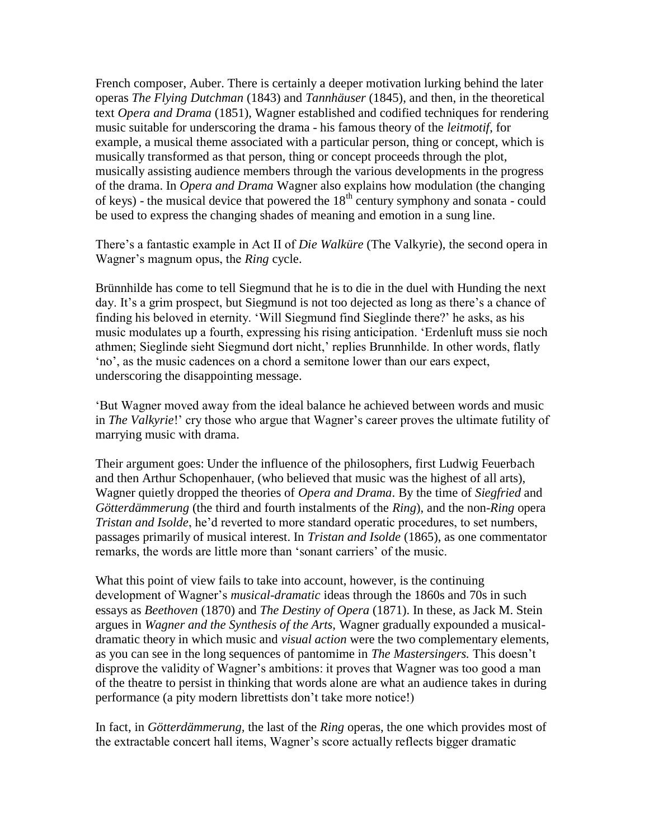French composer, Auber. There is certainly a deeper motivation lurking behind the later operas *The Flying Dutchman* (1843) and *Tannhäuser* (1845), and then, in the theoretical text *Opera and Drama* (1851), Wagner established and codified techniques for rendering music suitable for underscoring the drama - his famous theory of the *leitmotif*, for example, a musical theme associated with a particular person, thing or concept, which is musically transformed as that person, thing or concept proceeds through the plot, musically assisting audience members through the various developments in the progress of the drama. In *Opera and Drama* Wagner also explains how modulation (the changing of keys) - the musical device that powered the  $18<sup>th</sup>$  century symphony and sonata - could be used to express the changing shades of meaning and emotion in a sung line.

There's a fantastic example in Act II of *Die Walküre* (The Valkyrie), the second opera in Wagner's magnum opus, the *Ring* cycle.

Brünnhilde has come to tell Siegmund that he is to die in the duel with Hunding the next day. It's a grim prospect, but Siegmund is not too dejected as long as there's a chance of finding his beloved in eternity. 'Will Siegmund find Sieglinde there?' he asks, as his music modulates up a fourth, expressing his rising anticipation. 'Erdenluft muss sie noch athmen; Sieglinde sieht Siegmund dort nicht,' replies Brunnhilde. In other words, flatly 'no', as the music cadences on a chord a semitone lower than our ears expect, underscoring the disappointing message.

'But Wagner moved away from the ideal balance he achieved between words and music in *The Valkyrie*!' cry those who argue that Wagner's career proves the ultimate futility of marrying music with drama.

Their argument goes: Under the influence of the philosophers, first Ludwig Feuerbach and then Arthur Schopenhauer, (who believed that music was the highest of all arts), Wagner quietly dropped the theories of *Opera and Drama*. By the time of *Siegfried* and *Götterdämmerung* (the third and fourth instalments of the *Ring*), and the non-*Ring* opera *Tristan and Isolde*, he'd reverted to more standard operatic procedures, to set numbers, passages primarily of musical interest. In *Tristan and Isolde* (1865), as one commentator remarks, the words are little more than 'sonant carriers' of the music.

What this point of view fails to take into account, however, is the continuing development of Wagner's *musical-dramatic* ideas through the 1860s and 70s in such essays as *Beethoven* (1870) and *The Destiny of Opera* (1871). In these, as Jack M. Stein argues in *Wagner and the Synthesis of the Arts,* Wagner gradually expounded a musicaldramatic theory in which music and *visual action* were the two complementary elements, as you can see in the long sequences of pantomime in *The Mastersingers.* This doesn't disprove the validity of Wagner's ambitions: it proves that Wagner was too good a man of the theatre to persist in thinking that words alone are what an audience takes in during performance (a pity modern librettists don't take more notice!)

In fact, in *Götterdämmerung,* the last of the *Ring* operas, the one which provides most of the extractable concert hall items, Wagner's score actually reflects bigger dramatic